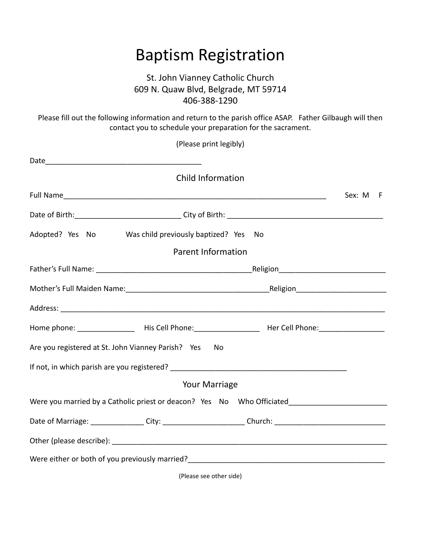## Baptism Registration

## St. John Vianney Catholic Church 609 N. Quaw Blvd, Belgrade, MT 59714 406-388-1290

Please fill out the following information and return to the parish office ASAP. Father Gilbaugh will then contact you to schedule your preparation for the sacrament.

| (Please print legibly)                                                                                         |             |
|----------------------------------------------------------------------------------------------------------------|-------------|
|                                                                                                                |             |
| <b>Child Information</b>                                                                                       |             |
|                                                                                                                | Sex: M<br>F |
|                                                                                                                |             |
| Adopted? Yes No Was child previously baptized? Yes No                                                          |             |
| <b>Parent Information</b>                                                                                      |             |
|                                                                                                                |             |
|                                                                                                                |             |
|                                                                                                                |             |
| Home phone: ___________________ His Cell Phone:__________________________________ Her Cell Phone:_____________ |             |
| Are you registered at St. John Vianney Parish? Yes<br>No                                                       |             |
|                                                                                                                |             |
| <b>Your Marriage</b>                                                                                           |             |
| Were you married by a Catholic priest or deacon? Yes No Who Officiated______________________________           |             |
| Date of Marriage: _______________City: ________________________Church: __________________________________      |             |
|                                                                                                                |             |
|                                                                                                                |             |
|                                                                                                                |             |

(Please see other side)